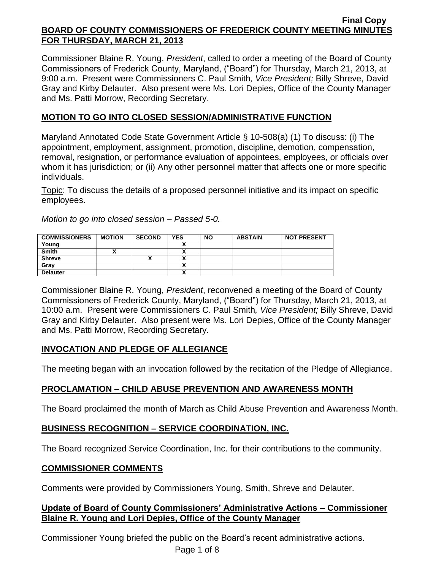Commissioner Blaine R. Young, *President*, called to order a meeting of the Board of County Commissioners of Frederick County, Maryland, ("Board") for Thursday, March 21, 2013, at 9:00 a.m. Present were Commissioners C. Paul Smith*, Vice President;* Billy Shreve, David Gray and Kirby Delauter. Also present were Ms. Lori Depies, Office of the County Manager and Ms. Patti Morrow, Recording Secretary.

## **MOTION TO GO INTO CLOSED SESSION/ADMINISTRATIVE FUNCTION**

Maryland Annotated Code State Government Article § 10-508(a) (1) To discuss: (i) The appointment, employment, assignment, promotion, discipline, demotion, compensation, removal, resignation, or performance evaluation of appointees, employees, or officials over whom it has jurisdiction; or (ii) Any other personnel matter that affects one or more specific individuals.

Topic: To discuss the details of a proposed personnel initiative and its impact on specific employees.

*Motion to go into closed session – Passed 5-0.*

| <b>COMMISSIONERS</b> | <b>MOTION</b> | <b>SECOND</b> | <b>YES</b>                 | <b>NO</b> | <b>ABSTAIN</b> | <b>NOT PRESENT</b> |
|----------------------|---------------|---------------|----------------------------|-----------|----------------|--------------------|
| Young                |               |               |                            |           |                |                    |
| <b>Smith</b>         |               |               |                            |           |                |                    |
| <b>Shreve</b>        |               |               |                            |           |                |                    |
| Grav                 |               |               | ~                          |           |                |                    |
| <b>Delauter</b>      |               |               | $\boldsymbol{\mathcal{L}}$ |           |                |                    |

Commissioner Blaine R. Young, *President*, reconvened a meeting of the Board of County Commissioners of Frederick County, Maryland, ("Board") for Thursday, March 21, 2013, at 10:00 a.m. Present were Commissioners C. Paul Smith*, Vice President;* Billy Shreve, David Gray and Kirby Delauter. Also present were Ms. Lori Depies, Office of the County Manager and Ms. Patti Morrow, Recording Secretary.

## **INVOCATION AND PLEDGE OF ALLEGIANCE**

The meeting began with an invocation followed by the recitation of the Pledge of Allegiance.

# **PROCLAMATION – CHILD ABUSE PREVENTION AND AWARENESS MONTH**

The Board proclaimed the month of March as Child Abuse Prevention and Awareness Month.

## **BUSINESS RECOGNITION – SERVICE COORDINATION, INC.**

The Board recognized Service Coordination, Inc. for their contributions to the community.

## **COMMISSIONER COMMENTS**

Comments were provided by Commissioners Young, Smith, Shreve and Delauter.

## **Update of Board of County Commissioners' Administrative Actions – Commissioner Blaine R. Young and Lori Depies, Office of the County Manager**

Commissioner Young briefed the public on the Board's recent administrative actions.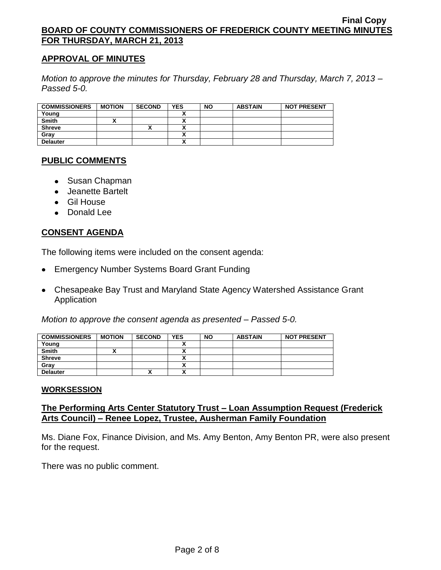### **APPROVAL OF MINUTES**

*Motion to approve the minutes for Thursday, February 28 and Thursday, March 7, 2013 – Passed 5-0.*

| <b>COMMISSIONERS</b> | <b>MOTION</b> | <b>SECOND</b> | <b>YES</b> | <b>NO</b> | <b>ABSTAIN</b> | <b>NOT PRESENT</b> |
|----------------------|---------------|---------------|------------|-----------|----------------|--------------------|
| Young                |               |               |            |           |                |                    |
| <b>Smith</b>         |               |               |            |           |                |                    |
| <b>Shreve</b>        |               | ↗             |            |           |                |                    |
| Grav                 |               |               |            |           |                |                    |
| <b>Delauter</b>      |               |               |            |           |                |                    |

## **PUBLIC COMMENTS**

- Susan Chapman
- Jeanette Bartelt
- Gil House
- Donald Lee

### **CONSENT AGENDA**

The following items were included on the consent agenda:

- Emergency Number Systems Board Grant Funding
- Chesapeake Bay Trust and Maryland State Agency Watershed Assistance Grant Application

*Motion to approve the consent agenda as presented – Passed 5-0.*

| <b>COMMISSIONERS</b> | <b>MOTION</b> | <b>SECOND</b> | <b>YES</b>   | <b>NO</b> | <b>ABSTAIN</b> | <b>NOT PRESENT</b> |
|----------------------|---------------|---------------|--------------|-----------|----------------|--------------------|
| Young                |               |               |              |           |                |                    |
| <b>Smith</b>         |               |               | ~            |           |                |                    |
| <b>Shreve</b>        |               |               | $\mathbf{v}$ |           |                |                    |
| Gray                 |               |               | ~            |           |                |                    |
| <b>Delauter</b>      |               | Λ             | Δ            |           |                |                    |

#### **WORKSESSION**

### **The Performing Arts Center Statutory Trust – Loan Assumption Request (Frederick Arts Council) – Renee Lopez, Trustee, Ausherman Family Foundation**

Ms. Diane Fox, Finance Division, and Ms. Amy Benton, Amy Benton PR, were also present for the request.

There was no public comment.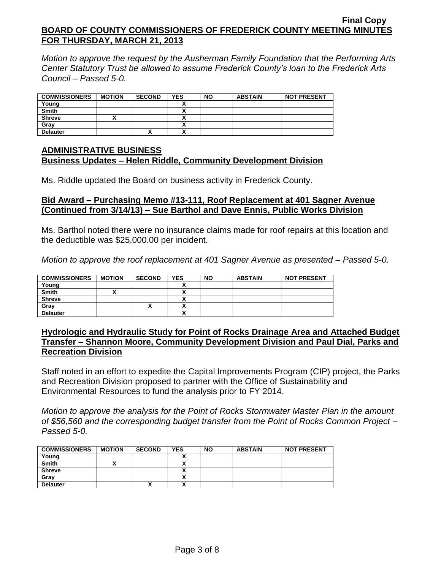*Motion to approve the request by the Ausherman Family Foundation that the Performing Arts Center Statutory Trust be allowed to assume Frederick County's loan to the Frederick Arts Council – Passed 5-0.*

| <b>COMMISSIONERS</b> | <b>MOTION</b> | <b>SECOND</b> | <b>YES</b> | <b>NO</b> | <b>ABSTAIN</b> | <b>NOT PRESENT</b> |
|----------------------|---------------|---------------|------------|-----------|----------------|--------------------|
| Young                |               |               |            |           |                |                    |
| <b>Smith</b>         |               |               |            |           |                |                    |
| <b>Shreve</b>        |               |               |            |           |                |                    |
| Grav                 |               |               |            |           |                |                    |
| <b>Delauter</b>      |               |               |            |           |                |                    |

## **ADMINISTRATIVE BUSINESS Business Updates – Helen Riddle, Community Development Division**

Ms. Riddle updated the Board on business activity in Frederick County.

### **Bid Award – Purchasing Memo #13-111, Roof Replacement at 401 Sagner Avenue (Continued from 3/14/13) – Sue Barthol and Dave Ennis, Public Works Division**

Ms. Barthol noted there were no insurance claims made for roof repairs at this location and the deductible was \$25,000.00 per incident.

*Motion to approve the roof replacement at 401 Sagner Avenue as presented – Passed 5-0.*

| <b>COMMISSIONERS</b> | <b>MOTION</b> | <b>SECOND</b> | <b>YES</b>                | <b>NO</b> | <b>ABSTAIN</b> | <b>NOT PRESENT</b> |
|----------------------|---------------|---------------|---------------------------|-----------|----------------|--------------------|
| Young                |               |               |                           |           |                |                    |
| <b>Smith</b>         |               |               |                           |           |                |                    |
| <b>Shreve</b>        |               |               | ^                         |           |                |                    |
| Grav                 |               | ,,            | $\ddot{\phantom{1}}$      |           |                |                    |
| <b>Delauter</b>      |               |               | $\ddot{\phantom{0}}$<br>~ |           |                |                    |

### **Hydrologic and Hydraulic Study for Point of Rocks Drainage Area and Attached Budget Transfer – Shannon Moore, Community Development Division and Paul Dial, Parks and Recreation Division**

Staff noted in an effort to expedite the Capital Improvements Program (CIP) project, the Parks and Recreation Division proposed to partner with the Office of Sustainability and Environmental Resources to fund the analysis prior to FY 2014.

*Motion to approve the analysis for the Point of Rocks Stormwater Master Plan in the amount of \$56,560 and the corresponding budget transfer from the Point of Rocks Common Project – Passed 5-0.*

| <b>COMMISSIONERS</b> | <b>MOTION</b> | <b>SECOND</b> | <b>YES</b> | <b>NO</b> | <b>ABSTAIN</b> | <b>NOT PRESENT</b> |
|----------------------|---------------|---------------|------------|-----------|----------------|--------------------|
| Young                |               |               |            |           |                |                    |
| <b>Smith</b>         |               |               |            |           |                |                    |
| <b>Shreve</b>        |               |               |            |           |                |                    |
| Grav                 |               |               |            |           |                |                    |
| <b>Delauter</b>      |               |               |            |           |                |                    |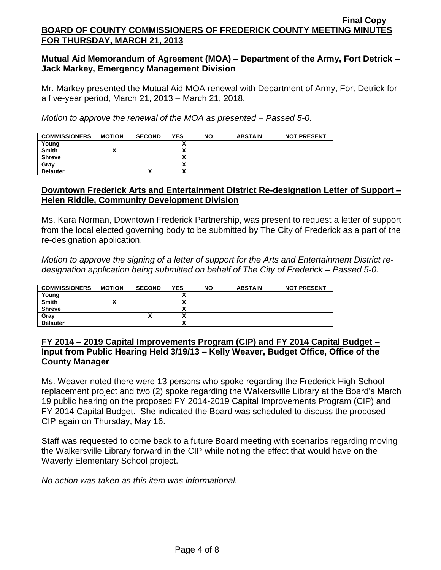## **Mutual Aid Memorandum of Agreement (MOA) – Department of the Army, Fort Detrick – Jack Markey, Emergency Management Division**

Mr. Markey presented the Mutual Aid MOA renewal with Department of Army, Fort Detrick for a five-year period, March 21, 2013 – March 21, 2018.

*Motion to approve the renewal of the MOA as presented – Passed 5-0.*

| <b>COMMISSIONERS</b> | <b>MOTION</b> | <b>SECOND</b> | <b>YES</b> | <b>NO</b> | <b>ABSTAIN</b> | <b>NOT PRESENT</b> |
|----------------------|---------------|---------------|------------|-----------|----------------|--------------------|
| Young                |               |               |            |           |                |                    |
| <b>Smith</b>         |               |               |            |           |                |                    |
| <b>Shreve</b>        |               |               |            |           |                |                    |
| Gray                 |               |               |            |           |                |                    |
| <b>Delauter</b>      |               | v<br>́        |            |           |                |                    |

## **Downtown Frederick Arts and Entertainment District Re-designation Letter of Support – Helen Riddle, Community Development Division**

Ms. Kara Norman, Downtown Frederick Partnership, was present to request a letter of support from the local elected governing body to be submitted by The City of Frederick as a part of the re-designation application.

*Motion to approve the signing of a letter of support for the Arts and Entertainment District redesignation application being submitted on behalf of The City of Frederick – Passed 5-0.*

| <b>COMMISSIONERS</b> | <b>MOTION</b> | <b>SECOND</b> | <b>YES</b>                 | <b>NO</b> | <b>ABSTAIN</b> | <b>NOT PRESENT</b> |
|----------------------|---------------|---------------|----------------------------|-----------|----------------|--------------------|
| Young                |               |               | ٠.                         |           |                |                    |
| <b>Smith</b>         |               |               | Λ                          |           |                |                    |
| <b>Shreve</b>        |               |               | Λ                          |           |                |                    |
| Gray                 |               |               | ٠.<br>^                    |           |                |                    |
| <b>Delauter</b>      |               |               | $\boldsymbol{\mathcal{L}}$ |           |                |                    |

#### **FY 2014 – 2019 Capital Improvements Program (CIP) and FY 2014 Capital Budget – Input from Public Hearing Held 3/19/13 – Kelly Weaver, Budget Office, Office of the County Manager**

Ms. Weaver noted there were 13 persons who spoke regarding the Frederick High School replacement project and two (2) spoke regarding the Walkersville Library at the Board's March 19 public hearing on the proposed FY 2014-2019 Capital Improvements Program (CIP) and FY 2014 Capital Budget. She indicated the Board was scheduled to discuss the proposed CIP again on Thursday, May 16.

Staff was requested to come back to a future Board meeting with scenarios regarding moving the Walkersville Library forward in the CIP while noting the effect that would have on the Waverly Elementary School project.

*No action was taken as this item was informational.*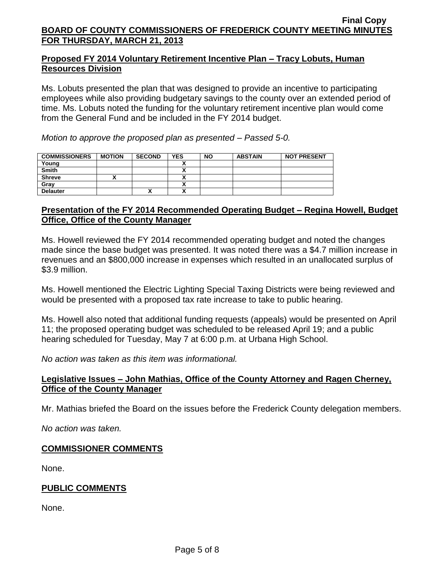## **Proposed FY 2014 Voluntary Retirement Incentive Plan – Tracy Lobuts, Human Resources Division**

Ms. Lobuts presented the plan that was designed to provide an incentive to participating employees while also providing budgetary savings to the county over an extended period of time. Ms. Lobuts noted the funding for the voluntary retirement incentive plan would come from the General Fund and be included in the FY 2014 budget.

*Motion to approve the proposed plan as presented – Passed 5-0.*

| <b>COMMISSIONERS</b> | <b>MOTION</b> | <b>SECOND</b> | <b>YES</b>                     | <b>NO</b> | <b>ABSTAIN</b> | <b>NOT PRESENT</b> |
|----------------------|---------------|---------------|--------------------------------|-----------|----------------|--------------------|
| Young                |               |               |                                |           |                |                    |
| <b>Smith</b>         |               |               |                                |           |                |                    |
| <b>Shreve</b>        |               |               |                                |           |                |                    |
| Gray                 |               |               |                                |           |                |                    |
| <b>Delauter</b>      |               | ↗             | ٠.<br>$\overline{\phantom{a}}$ |           |                |                    |

## **Presentation of the FY 2014 Recommended Operating Budget – Regina Howell, Budget Office, Office of the County Manager**

Ms. Howell reviewed the FY 2014 recommended operating budget and noted the changes made since the base budget was presented. It was noted there was a \$4.7 million increase in revenues and an \$800,000 increase in expenses which resulted in an unallocated surplus of \$3.9 million.

Ms. Howell mentioned the Electric Lighting Special Taxing Districts were being reviewed and would be presented with a proposed tax rate increase to take to public hearing.

Ms. Howell also noted that additional funding requests (appeals) would be presented on April 11; the proposed operating budget was scheduled to be released April 19; and a public hearing scheduled for Tuesday, May 7 at 6:00 p.m. at Urbana High School.

*No action was taken as this item was informational.*

### **Legislative Issues – John Mathias, Office of the County Attorney and Ragen Cherney, Office of the County Manager**

Mr. Mathias briefed the Board on the issues before the Frederick County delegation members.

*No action was taken.*

### **COMMISSIONER COMMENTS**

None.

### **PUBLIC COMMENTS**

None.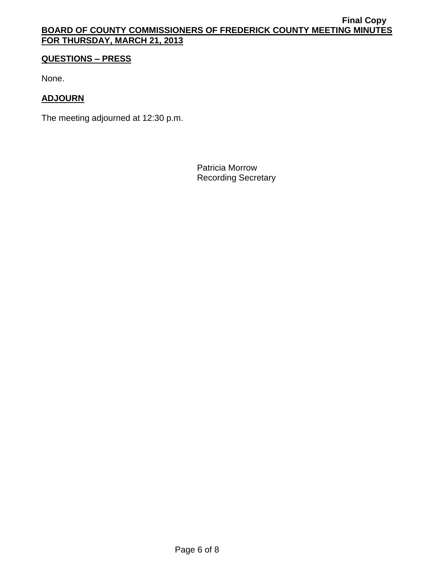## **QUESTIONS – PRESS**

None.

## **ADJOURN**

The meeting adjourned at 12:30 p.m.

Patricia Morrow Recording Secretary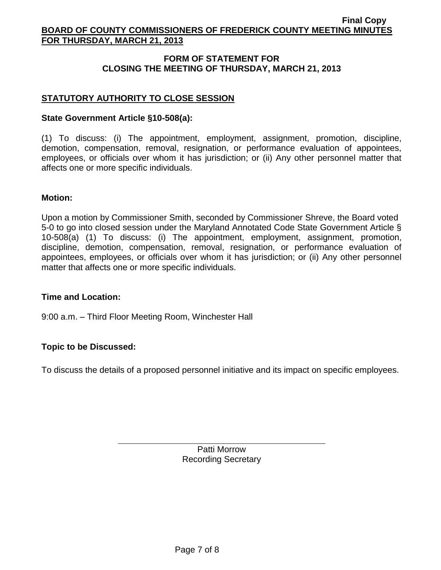## **FORM OF STATEMENT FOR CLOSING THE MEETING OF THURSDAY, MARCH 21, 2013**

## **STATUTORY AUTHORITY TO CLOSE SESSION**

#### **State Government Article §10-508(a):**

(1) To discuss: (i) The appointment, employment, assignment, promotion, discipline, demotion, compensation, removal, resignation, or performance evaluation of appointees, employees, or officials over whom it has jurisdiction; or (ii) Any other personnel matter that affects one or more specific individuals.

#### **Motion:**

Upon a motion by Commissioner Smith, seconded by Commissioner Shreve, the Board voted 5-0 to go into closed session under the Maryland Annotated Code State Government Article § 10-508(a) (1) To discuss: (i) The appointment, employment, assignment, promotion, discipline, demotion, compensation, removal, resignation, or performance evaluation of appointees, employees, or officials over whom it has jurisdiction; or (ii) Any other personnel matter that affects one or more specific individuals.

#### **Time and Location:**

9:00 a.m. – Third Floor Meeting Room, Winchester Hall

#### **Topic to be Discussed:**

To discuss the details of a proposed personnel initiative and its impact on specific employees.

Patti Morrow Recording Secretary